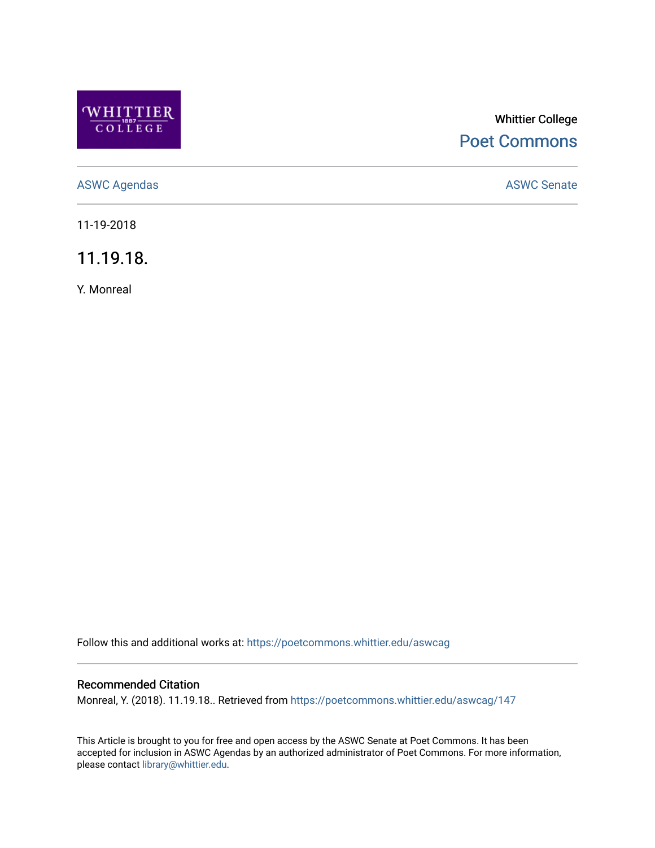

# Whittier College [Poet Commons](https://poetcommons.whittier.edu/)

[ASWC Agendas](https://poetcommons.whittier.edu/aswcag) **ASWC Senate** 

11-19-2018

11.19.18.

Y. Monreal

Follow this and additional works at: [https://poetcommons.whittier.edu/aswcag](https://poetcommons.whittier.edu/aswcag?utm_source=poetcommons.whittier.edu%2Faswcag%2F147&utm_medium=PDF&utm_campaign=PDFCoverPages) 

# Recommended Citation

Monreal, Y. (2018). 11.19.18.. Retrieved from [https://poetcommons.whittier.edu/aswcag/147](https://poetcommons.whittier.edu/aswcag/147?utm_source=poetcommons.whittier.edu%2Faswcag%2F147&utm_medium=PDF&utm_campaign=PDFCoverPages) 

This Article is brought to you for free and open access by the ASWC Senate at Poet Commons. It has been accepted for inclusion in ASWC Agendas by an authorized administrator of Poet Commons. For more information, please contact [library@whittier.edu](mailto:library@whittier.edu).